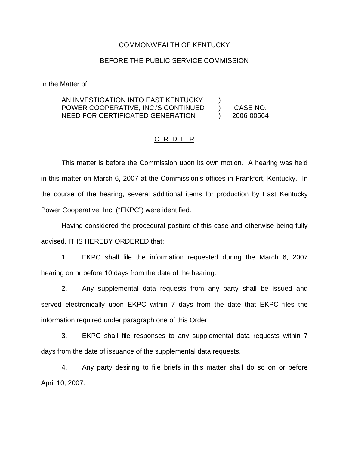## COMMONWEALTH OF KENTUCKY

## BEFORE THE PUBLIC SERVICE COMMISSION

In the Matter of:

## AN INVESTIGATION INTO EAST KENTUCKY POWER COOPERATIVE, INC.'S CONTINUED NEED FOR CERTIFICATED GENERATION ) ) CASE NO. ) 2006-00564

## O R D E R

This matter is before the Commission upon its own motion. A hearing was held in this matter on March 6, 2007 at the Commission's offices in Frankfort, Kentucky. In the course of the hearing, several additional items for production by East Kentucky Power Cooperative, Inc. ("EKPC") were identified.

Having considered the procedural posture of this case and otherwise being fully advised, IT IS HEREBY ORDERED that:

1. EKPC shall file the information requested during the March 6, 2007 hearing on or before 10 days from the date of the hearing.

2. Any supplemental data requests from any party shall be issued and served electronically upon EKPC within 7 days from the date that EKPC files the information required under paragraph one of this Order.

3. EKPC shall file responses to any supplemental data requests within 7 days from the date of issuance of the supplemental data requests.

4. Any party desiring to file briefs in this matter shall do so on or before April 10, 2007.